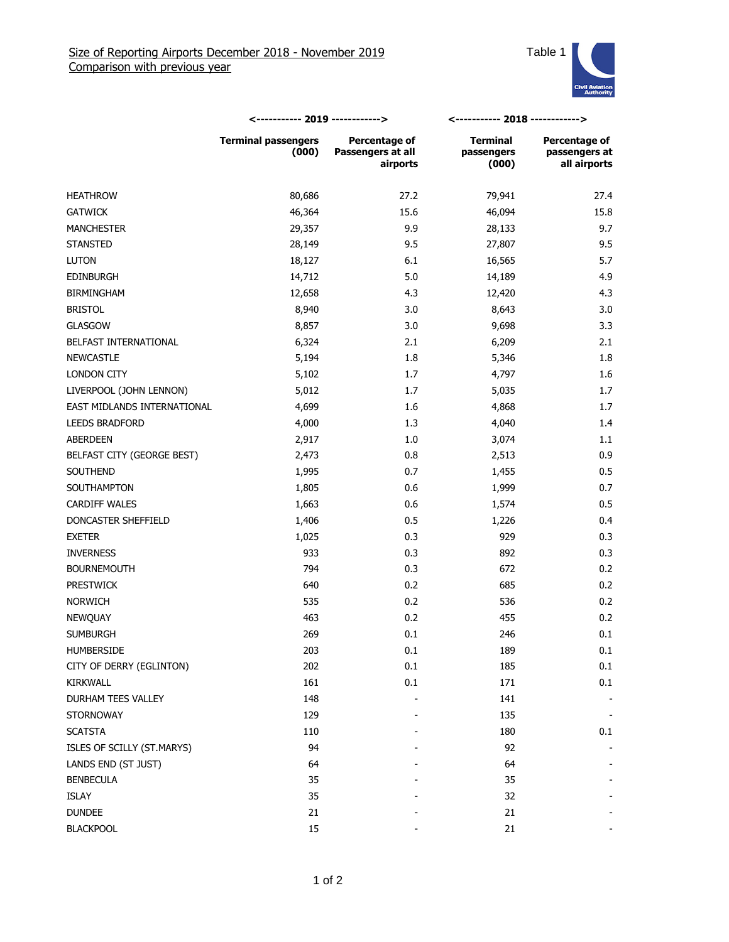

|                             | <----------- 2019 ------------>     |                                                | <----------- 2018 ------------>        |                                                |
|-----------------------------|-------------------------------------|------------------------------------------------|----------------------------------------|------------------------------------------------|
|                             | <b>Terminal passengers</b><br>(000) | Percentage of<br>Passengers at all<br>airports | <b>Terminal</b><br>passengers<br>(000) | Percentage of<br>passengers at<br>all airports |
| <b>HEATHROW</b>             | 80,686                              | 27.2                                           | 79,941                                 | 27.4                                           |
| <b>GATWICK</b>              | 46,364                              | 15.6                                           | 46,094                                 | 15.8                                           |
| <b>MANCHESTER</b>           | 29,357                              | 9.9                                            | 28,133                                 | 9.7                                            |
| <b>STANSTED</b>             | 28,149                              | 9.5                                            | 27,807                                 | 9.5                                            |
| <b>LUTON</b>                | 18,127                              | 6.1                                            | 16,565                                 | 5.7                                            |
| <b>EDINBURGH</b>            | 14,712                              | 5.0                                            | 14,189                                 | 4.9                                            |
| <b>BIRMINGHAM</b>           | 12,658                              | 4.3                                            | 12,420                                 | 4.3                                            |
| <b>BRISTOL</b>              | 8,940                               | 3.0                                            | 8,643                                  | 3.0                                            |
| <b>GLASGOW</b>              | 8,857                               | 3.0                                            | 9,698                                  | 3.3                                            |
| BELFAST INTERNATIONAL       | 6,324                               | 2.1                                            | 6,209                                  | 2.1                                            |
| <b>NEWCASTLE</b>            | 5,194                               | 1.8                                            | 5,346                                  | 1.8                                            |
| LONDON CITY                 | 5,102                               | 1.7                                            | 4,797                                  | 1.6                                            |
| LIVERPOOL (JOHN LENNON)     | 5,012                               | 1.7                                            | 5,035                                  | 1.7                                            |
| EAST MIDLANDS INTERNATIONAL | 4,699                               | 1.6                                            | 4,868                                  | 1.7                                            |
| <b>LEEDS BRADFORD</b>       | 4,000                               | 1.3                                            | 4,040                                  | 1.4                                            |
| ABERDEEN                    | 2,917                               | 1.0                                            | 3,074                                  | 1.1                                            |
| BELFAST CITY (GEORGE BEST)  | 2,473                               | 0.8                                            | 2,513                                  | 0.9                                            |
| SOUTHEND                    | 1,995                               | 0.7                                            | 1,455                                  | 0.5                                            |
| SOUTHAMPTON                 | 1,805                               | 0.6                                            | 1,999                                  | 0.7                                            |
| <b>CARDIFF WALES</b>        | 1,663                               | 0.6                                            | 1,574                                  | 0.5                                            |
| DONCASTER SHEFFIELD         | 1,406                               | 0.5                                            | 1,226                                  | 0.4                                            |
| <b>EXETER</b>               | 1,025                               | 0.3                                            | 929                                    | 0.3                                            |
| <b>INVERNESS</b>            | 933                                 | 0.3                                            | 892                                    | 0.3                                            |
| <b>BOURNEMOUTH</b>          | 794                                 | 0.3                                            | 672                                    | 0.2                                            |
| <b>PRESTWICK</b>            | 640                                 | 0.2                                            | 685                                    | 0.2                                            |
| <b>NORWICH</b>              | 535                                 | 0.2                                            | 536                                    | 0.2                                            |
| NEWQUAY                     | 463                                 | 0.2                                            | 455                                    | 0.2                                            |
| <b>SUMBURGH</b>             | 269                                 | 0.1                                            | 246                                    | 0.1                                            |
| HUMBERSIDE                  | 203                                 | 0.1                                            | 189                                    | 0.1                                            |
| CITY OF DERRY (EGLINTON)    | 202                                 | 0.1                                            | 185                                    | 0.1                                            |
| <b>KIRKWALL</b>             | 161                                 | 0.1                                            | 171                                    | 0.1                                            |
| DURHAM TEES VALLEY          | 148                                 |                                                | 141                                    |                                                |
| <b>STORNOWAY</b>            | 129                                 |                                                | 135                                    |                                                |
| <b>SCATSTA</b>              | 110                                 |                                                | 180                                    | 0.1                                            |
| ISLES OF SCILLY (ST.MARYS)  | 94                                  |                                                | 92                                     |                                                |
| LANDS END (ST JUST)         | 64                                  |                                                | 64                                     |                                                |
| <b>BENBECULA</b>            | 35                                  |                                                | 35                                     |                                                |
| <b>ISLAY</b>                | 35                                  |                                                | 32                                     |                                                |
| <b>DUNDEE</b>               | 21                                  |                                                | 21                                     |                                                |
| <b>BLACKPOOL</b>            | 15                                  |                                                | 21                                     |                                                |